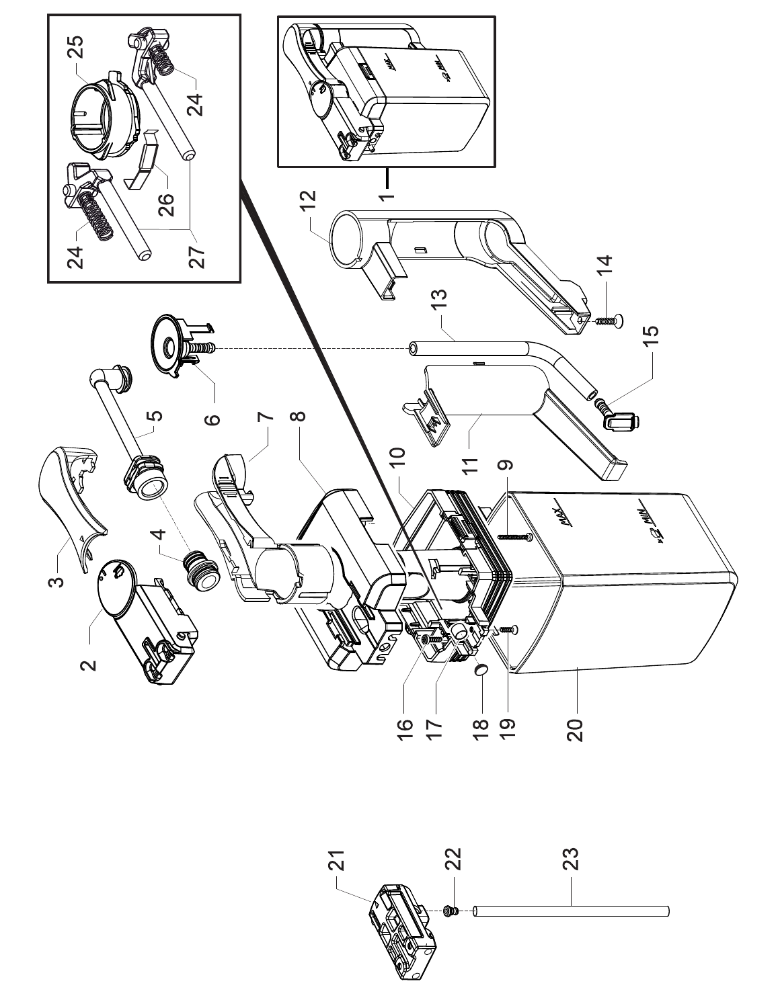